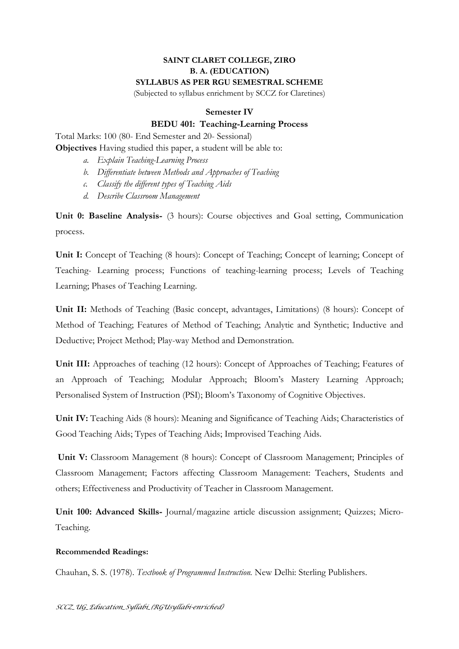## **SAINT CLARET COLLEGE, ZIRO B. A. (EDUCATION) SYLLABUS AS PER RGU SEMESTRAL SCHEME**

(Subjected to syllabus enrichment by SCCZ for Claretines)

## **Semester IV**

## **BEDU 401: Teaching-Learning Process**

Total Marks: 100 (80- End Semester and 20- Sessional)

**Objectives** Having studied this paper, a student will be able to:

- *a. Explain Teaching-Learning Process*
- *b. Differentiate between Methods and Approaches of Teaching*
- *c. Classify the different types of Teaching Aids*
- *d. Describe Classroom Management*

**Unit 0: Baseline Analysis-** (3 hours): Course objectives and Goal setting, Communication process.

**Unit I:** Concept of Teaching (8 hours): Concept of Teaching; Concept of learning; Concept of Teaching- Learning process; Functions of teaching-learning process; Levels of Teaching Learning; Phases of Teaching Learning.

**Unit II:** Methods of Teaching (Basic concept, advantages, Limitations) (8 hours): Concept of Method of Teaching; Features of Method of Teaching; Analytic and Synthetic; Inductive and Deductive; Project Method; Play-way Method and Demonstration.

**Unit III:** Approaches of teaching (12 hours): Concept of Approaches of Teaching; Features of an Approach of Teaching; Modular Approach; Bloom's Mastery Learning Approach; Personalised System of Instruction (PSI); Bloom's Taxonomy of Cognitive Objectives.

**Unit IV:** Teaching Aids (8 hours): Meaning and Significance of Teaching Aids; Characteristics of Good Teaching Aids; Types of Teaching Aids; Improvised Teaching Aids.

**Unit V:** Classroom Management (8 hours): Concept of Classroom Management; Principles of Classroom Management; Factors affecting Classroom Management: Teachers, Students and others; Effectiveness and Productivity of Teacher in Classroom Management.

**Unit 100: Advanced Skills-** Journal/magazine article discussion assignment; Quizzes; Micro-Teaching.

## **Recommended Readings:**

Chauhan, S. S. (1978). *Textbook of Programmed Instruction.* New Delhi: Sterling Publishers.